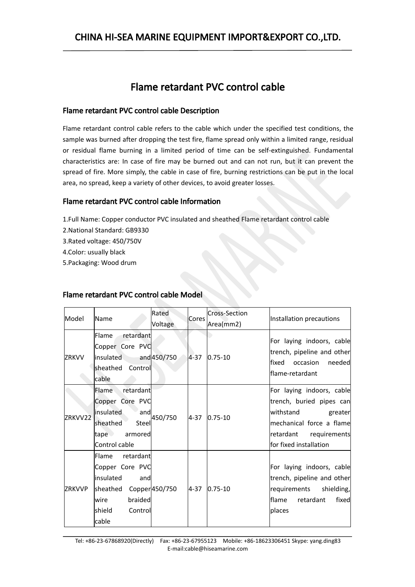### Flame retardant PVC control cable

#### Flame retardant PVC control cable Description

Flame retardant control cable refers to the cable which under the specified test conditions, the sample was burned after dropping the test fire, flame spread only within a limited range, residual or residual flame burning in a limited period of time can be self-extinguished. Fundamental characteristics are: In case of fire may be burned out and can not run, but it can prevent the spread of fire. More simply, the cable in case of fire, burning restrictions can be put in the local area, no spread, keep a variety of other devices, to avoid greater losses.

#### Flame retardant PVC control cable Information

1.Full Name: Copper conductor PVC insulated and sheathed Flame retardant control cable

- 2.National Standard: GB9330
- 3.Rated voltage: 450/750V
- 4.Color: usually black

5.Packaging: Wood drum

#### Flame retardant PVC control cable Model

| Model          | Name                                                                                                                                   | Rated<br>Voltage | Cores    | Cross-Section<br>Area(mm2) | Installation precautions                                                                                                                                      |
|----------------|----------------------------------------------------------------------------------------------------------------------------------------|------------------|----------|----------------------------|---------------------------------------------------------------------------------------------------------------------------------------------------------------|
| <b>IZRKVV</b>  | retardant<br>Flame<br>Copper Core PVC<br>insulated<br>sheathed Control<br>cable                                                        | and 450/750      | $4 - 37$ | $ 0.75 - 10$               | For laying indoors, cable<br>trench, pipeline and other<br>lfixed occasion neededl<br>flame-retardant                                                         |
| <b>ZRKVV22</b> | retardant<br>Flame<br>Copper Core PVC<br>insulated<br>and<br>Steel<br>sheathed<br>armored<br>tape<br>Control cable                     | 450/750          | l4-37    | $ 0.75 - 10$               | For laying indoors, cable<br>trench, buried pipes can<br>withstand<br>greater<br>mechanical force a flame<br>retardant requirements<br>for fixed installation |
| <b>ZRKVVP</b>  | retardant<br>Flame<br>Copper Core PVC<br>insulated<br>and<br>sheathed Copper 450/750<br>braided<br>wire<br>shield<br>Controll<br>cable |                  | $ 4-37 $ | $ 0.75 - 10$               | For laying indoors, cable<br>trench, pipeline and other<br> requirements shielding, <br>retardant<br>fixed<br>lflame<br><b>places</b>                         |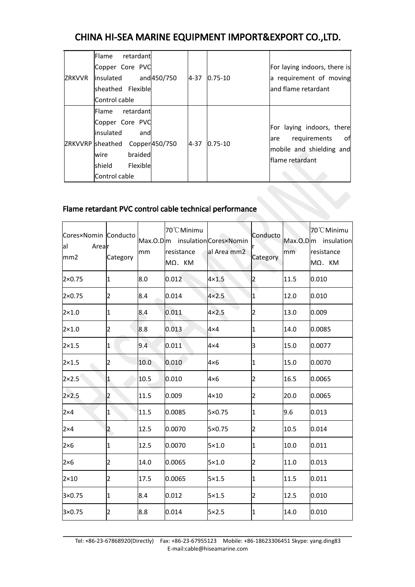| <b>ZRKVVR</b> | retardantl<br><b>IFlame</b><br>Copper Core PVC<br>linsulated<br>sheathed Flexible<br>Control cable                                                | and 450/750    | $ 4-37 $ | $ 0.75 - 10 $ | For laying indoors, there is<br>a requirement of moving<br>land flame retardant                          |
|---------------|---------------------------------------------------------------------------------------------------------------------------------------------------|----------------|----------|---------------|----------------------------------------------------------------------------------------------------------|
|               | retardantl<br><b>Flame</b><br>Copper Core PVC<br>linsulated<br>and<br>ZRKVVRP sheathed<br>braided<br>lwire<br>shield<br>Flexible<br>Control cable | Copper 450/750 | $4-37$   | $ 0.75 - 10$  | For laying indoors, there<br>requirements<br>otl<br>lare<br>mobile and shielding and<br>lflame retardant |

#### Flame retardant PVC control cable technical performance

| Cores×Nomin Conducto<br> al<br>Arear<br>$\sqrt{mm2}$ | Category             | lmm  | 70°C Minimu<br>Max.O.Dm insulation Cores×Nomin<br>resistance<br>ΜΩ. ΚΜ | al Area mm2    | Conducto<br>Category | mm   | 70°C Minimu<br>Max.O.Dm insulation<br>resistance<br>MΩ. KM |  |
|------------------------------------------------------|----------------------|------|------------------------------------------------------------------------|----------------|----------------------|------|------------------------------------------------------------|--|
| $2\times 0.75$                                       | $\vert$ 1            | 8.0  | 0.012                                                                  | $4\times1.5$   | 2                    | 11.5 | 0.010                                                      |  |
| $2\times 0.75$                                       | $ 2\rangle$          | 8.4  | 0.014                                                                  | $4 \times 2.5$ | $ 1\rangle$          | 12.0 | 0.010                                                      |  |
| $ 2\times1.0 $                                       | $\vert$ 1            | 8.4  | 0.011                                                                  | $4\times2.5$   | 2                    | 13.0 | 0.009                                                      |  |
| $ 2\times1.0 $                                       | 2                    | 8.8  | 0.013                                                                  | $4\times4$     | $ 1\rangle$          | 14.0 | 0.0085                                                     |  |
| $2\times1.5$                                         | $\vert$ 1            | 9.4  | $ 0.011\rangle$                                                        | $4\times4$     | 3                    | 15.0 | 0.0077                                                     |  |
| $2\times1.5$                                         | 2                    | 10.0 | 0.010                                                                  | $4\times 6$    | 1                    | 15.0 | 0.0070                                                     |  |
| $2 \times 2.5$                                       | 1                    | 10.5 | 0.010                                                                  | $4\times 6$    | 2                    | 16.5 | 0.0065                                                     |  |
| $2\times2.5$                                         | 2                    | 11.5 | 0.009                                                                  | $4 \times 10$  | 12                   | 20.0 | 0.0065                                                     |  |
| $ 2\times 4 $                                        | $\vert$ 1            | 11.5 | 0.0085                                                                 | 5×0.75         | 1                    | 9.6  | 0.013                                                      |  |
| $2\times 4$                                          | $\vert$ <sup>2</sup> | 12.5 | 0.0070                                                                 | 5×0.75         | 2                    | 10.5 | 0.014                                                      |  |
| $2\times 6$                                          | 1                    | 12.5 | 0.0070                                                                 | $5\times1.0$   | 11                   | 10.0 | 0.011                                                      |  |
| $2\times 6$                                          | $\overline{2}$       | 14.0 | 0.0065                                                                 | $5\times1.0$   | 2                    | 11.0 | 0.013                                                      |  |
| $2 \times 10$                                        | $\vert$ 2            | 17.5 | 0.0065                                                                 | $5\times1.5$   | 1                    | 11.5 | 0.011                                                      |  |
| $3\times 0.75$                                       | $\overline{1}$       | 8.4  | 0.012                                                                  | $5\times1.5$   | 2                    | 12.5 | 0.010                                                      |  |
| $3\times 0.75$                                       | 2                    | 8.8  | 0.014                                                                  | $5 \times 2.5$ | 1                    | 14.0 | 0.010                                                      |  |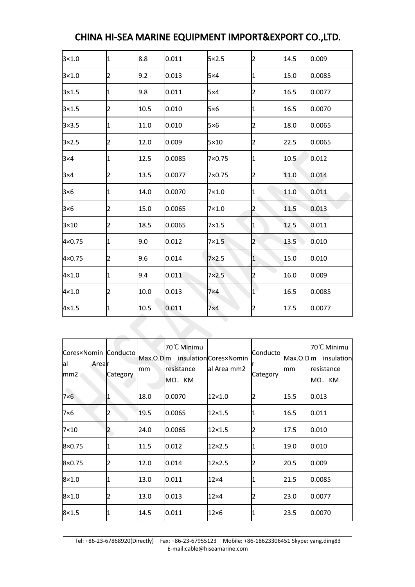| $3\times1.0$   | 1              | 8.8  | 0.011  | $5\times2.5$ | 2           | 14.5 | 0.009  |
|----------------|----------------|------|--------|--------------|-------------|------|--------|
| $3\times1.0$   | 2              | 9.2  | 0.013  | $5\times4$   | 1           | 15.0 | 0.0085 |
| $3\times1.5$   | 1              | 9.8  | 0.011  | $5\times4$   | 12          | 16.5 | 0.0077 |
| $3\times1.5$   | 2              | 10.5 | 0.010  | $5\times6$   | 1           | 16.5 | 0.0070 |
| $3\times3.5$   | $\mathbf{1}$   | 11.0 | 0.010  | $5\times6$   | 2           | 18.0 | 0.0065 |
| $3\times2.5$   | 2              | 12.0 | 0.009  | $5\times10$  | 12          | 22.5 | 0.0065 |
| $ 3\times4 $   | 1              | 12.5 | 0.0085 | 7×0.75       | 1           | 10.5 | 0.012  |
| $ 3\times4 $   | 2              | 13.5 | 0.0077 | 7×0.75       | 2           | 11.0 | 0.014  |
| $ 3\times 6 $  | 1              | 14.0 | 0.0070 | $7\times1.0$ | 1           | 11.0 | 0.011  |
| $ 3\times 6 $  | 2              | 15.0 | 0.0065 | $7\times1.0$ | 2           | 11.5 | 0.013  |
| $ 3\times10 $  | 2              | 18.5 | 0.0065 | $7\times1.5$ | 1           | 12.5 | 0.011  |
| $4\times 0.75$ | 1              | 9.0  | 0.012  | $7\times1.5$ | 2           | 13.5 | 0.010  |
| 4×0.75         | $\overline{2}$ | 9.6  | 0.014  | $7\times2.5$ | $ 1\rangle$ | 15.0 | 0.010  |
| $ 4\times1.0 $ | $\overline{1}$ | 9.4  | 0.011  | $7\times2.5$ | 2           | 16.0 | 0.009  |
| $ 4\times1.0$  | 2              | 10.0 | 0.013  | $7\times4$   | $ 1\rangle$ | 16.5 | 0.0085 |
| $ 4\times1.5 $ | 1              | 10.5 | 0.011  | $7\times4$   | 2           | 17.5 | 0.0077 |

| Cores×Nomin Conducto<br>lal<br>Arealr<br>$\sqrt{mm2}$ | Category       | Max.O.Dm<br>lmm | 70°C Minimu<br>resistance<br>$ MΩ.$ KM | insulation Cores×Nomin<br>al Area mm2 | Conducto<br>Category | $Max.0.$ D $ m$<br>mm | 70°C Minimu<br>insulation<br>resistance<br>MΩ. KM |
|-------------------------------------------------------|----------------|-----------------|----------------------------------------|---------------------------------------|----------------------|-----------------------|---------------------------------------------------|
| $7\times 6$                                           |                | 18.0            | 0.0070                                 | $12\times1.0$                         | 12                   | 15.5                  | 0.013                                             |
| $7\times6$                                            | 2              | 19.5            | 0.0065                                 | $12\times1.5$                         | 11                   | 16.5                  | 0.011                                             |
| $7\times10$                                           | $\overline{2}$ | 24.0            | 0.0065                                 | $12\times1.5$                         |                      | 17.5                  | 0.010                                             |
| 8×0.75                                                | 1              | 11.5            | 0.012                                  | $12\times2.5$                         | 1                    | 19.0                  | 0.010                                             |
| $8\times 0.75$                                        | 2              | 12.0            | 0.014                                  | $12\times2.5$                         | 2                    | 20.5                  | 0.009                                             |
| $ 8\times1.0 $                                        |                | 13.0            | 0.011                                  | $12\times4$                           |                      | 21.5                  | 0.0085                                            |
| $8\times1.0$                                          | 2              | 13.0            | 0.013                                  | $12\times4$                           | 2                    | 23.0                  | 0.0077                                            |
| $ 8\times1.5 $                                        |                | 14.5            | 0.011                                  | $12\times 6$                          |                      | 23.5                  | 0.0070                                            |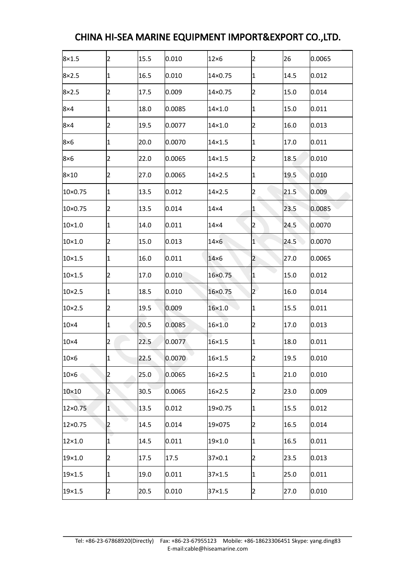| $8\times1.5$    | $\overline{2}$ | 15.5 | 0.010            | $12\times 6$    | 2            | 26   | 0.0065 |
|-----------------|----------------|------|------------------|-----------------|--------------|------|--------|
| $8\times2.5$    | $\overline{1}$ | 16.5 | 0.010            | 14×0.75         | 1            | 14.5 | 0.012  |
| $8\times2.5$    | 2              | 17.5 | 0.009            | 14×0.75         | 2            | 15.0 | 0.014  |
| 8×4             | $\mathbf{1}$   | 18.0 | 0.0085           | $14\times1.0$   | $\vert$ 1    | 15.0 | 0.011  |
| 8×4             | 2              | 19.5 | 0.0077           | $14\times1.0$   | 2            | 16.0 | 0.013  |
| $8\times6$      | 1              | 20.0 | 0.0070           | $14\times1.5$   | $\vert$ 1    | 17.0 | 0.011  |
| $8\times6$      | 2              | 22.0 | 0.0065           | $14\times1.5$   | 2            | 18.5 | 0.010  |
| $8\times10$     | 2              | 27.0 | 0.0065           | $14\times2.5$   | $\vert$ 1    | 19.5 | 0.010  |
| 10×0.75         | 1              | 13.5 | $ 0.012\rangle$  | $14 \times 2.5$ | 2            | 21.5 | 0.009  |
| 10×0.75         | $\overline{2}$ | 13.5 | 0.014            | $14\times4$     | $\mathbf{1}$ | 23.5 | 0.0085 |
| 10×1.0          | 1              | 14.0 | 0.011            | $14\times4$     | 2            | 24.5 | 0.0070 |
| $ 10\times1.0 $ | $\overline{2}$ | 15.0 | $ 0.013\rangle$  | $14\times 6$    | $ 1\rangle$  | 24.5 | 0.0070 |
| $ 10\times1.5 $ | $\overline{1}$ | 16.0 | 0.011            | $14\times 6$    | $\vert$ 2    | 27.0 | 0.0065 |
| 10×1.5          | $\overline{2}$ | 17.0 | $ 0.010\rangle$  | 16×0.75         | 1            | 15.0 | 0.012  |
| 10×2.5          | 1              | 18.5 | $ 0.010\rangle$  | 16×0.75         | $ 2\rangle$  | 16.0 | 0.014  |
| 10×2.5          | $\overline{2}$ | 19.5 | 0.009            | $16\times1.0$   | 1            | 15.5 | 0.011  |
| 10×4            | $\overline{1}$ | 20.5 | 0.0085           | $16\times1.0$   | 2            | 17.0 | 0.013  |
| $10\times4$     | $\overline{2}$ | 22.5 | 0.0077           | $16\times1.5$   | 1            | 18.0 | 0.011  |
| $10\times 6$    | 1              | 22.5 | $ 0.0070\rangle$ | $16\times1.5$   | 2            | 19.5 | 0.010  |
| 10×6            | 2              | 25.0 | 0.0065           | $16\times2.5$   | 1            | 21.0 | 0.010  |
| 10×10           | $\overline{2}$ | 30.5 | 0.0065           | $16\times2.5$   | 2            | 23.0 | 0.009  |
| 12×0.75         | $\mathbf{1}$   | 13.5 | $ 0.012\rangle$  | 19×0.75         | 1            | 15.5 | 0.012  |
| 12×0.75         | $\overline{2}$ | 14.5 | 0.014            | 19×075          | 2            | 16.5 | 0.014  |
| 12×1.0          | $\overline{1}$ | 14.5 | 0.011            | 19×1.0          | 1            | 16.5 | 0.011  |
| 19×1.0          | $\overline{2}$ | 17.5 | 17.5             | 37×0.1          | 2            | 23.5 | 0.013  |
| 19×1.5          | $\vert$ 1      | 19.0 | 0.011            | 37×1.5          | 1            | 25.0 | 0.011  |
| 19×1.5          | $\overline{2}$ | 20.5 | 0.010            | 37×1.5          | 2            | 27.0 | 0.010  |